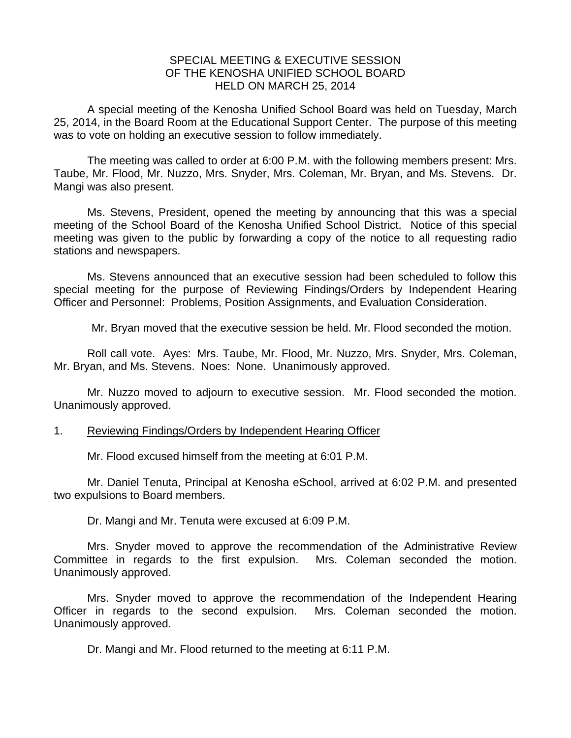## SPECIAL MEETING & EXECUTIVE SESSION OF THE KENOSHA UNIFIED SCHOOL BOARD HELD ON MARCH 25, 2014

A special meeting of the Kenosha Unified School Board was held on Tuesday, March 25, 2014, in the Board Room at the Educational Support Center. The purpose of this meeting was to vote on holding an executive session to follow immediately.

 The meeting was called to order at 6:00 P.M. with the following members present: Mrs. Taube, Mr. Flood, Mr. Nuzzo, Mrs. Snyder, Mrs. Coleman, Mr. Bryan, and Ms. Stevens. Dr. Mangi was also present.

 Ms. Stevens, President, opened the meeting by announcing that this was a special meeting of the School Board of the Kenosha Unified School District. Notice of this special meeting was given to the public by forwarding a copy of the notice to all requesting radio stations and newspapers.

 Ms. Stevens announced that an executive session had been scheduled to follow this special meeting for the purpose of Reviewing Findings/Orders by Independent Hearing Officer and Personnel: Problems, Position Assignments, and Evaluation Consideration.

Mr. Bryan moved that the executive session be held. Mr. Flood seconded the motion.

 Roll call vote. Ayes: Mrs. Taube, Mr. Flood, Mr. Nuzzo, Mrs. Snyder, Mrs. Coleman, Mr. Bryan, and Ms. Stevens. Noes: None. Unanimously approved.

 Mr. Nuzzo moved to adjourn to executive session. Mr. Flood seconded the motion. Unanimously approved.

## 1. Reviewing Findings/Orders by Independent Hearing Officer

Mr. Flood excused himself from the meeting at 6:01 P.M.

Mr. Daniel Tenuta, Principal at Kenosha eSchool, arrived at 6:02 P.M. and presented two expulsions to Board members.

Dr. Mangi and Mr. Tenuta were excused at 6:09 P.M.

Mrs. Snyder moved to approve the recommendation of the Administrative Review Committee in regards to the first expulsion. Mrs. Coleman seconded the motion. Unanimously approved.

 Mrs. Snyder moved to approve the recommendation of the Independent Hearing Officer in regards to the second expulsion. Mrs. Coleman seconded the motion. Unanimously approved.

Dr. Mangi and Mr. Flood returned to the meeting at 6:11 P.M.